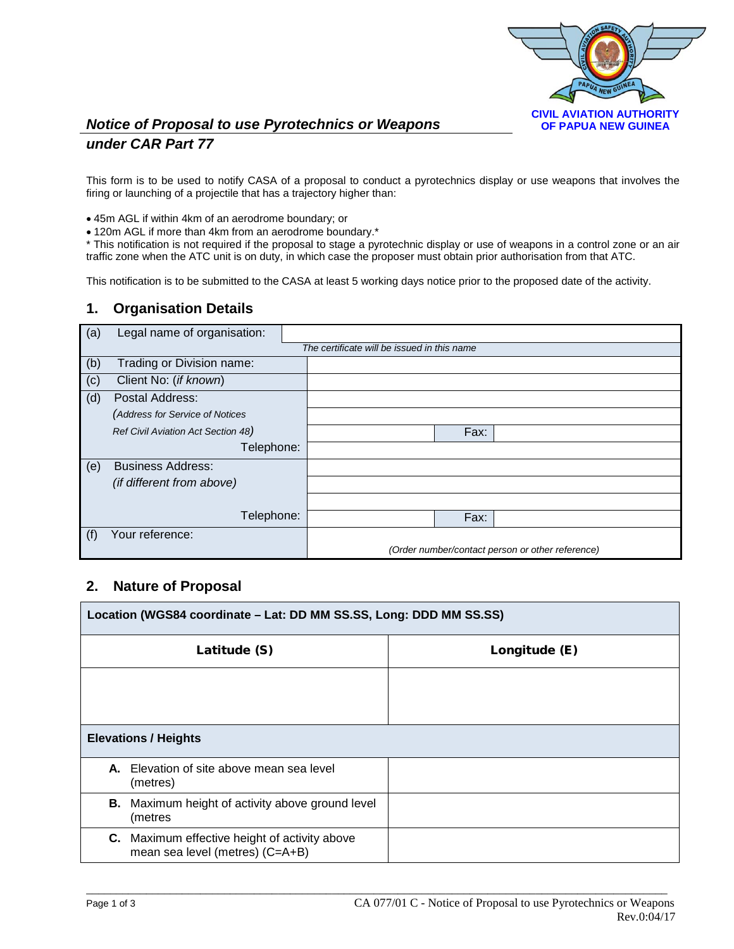

## *Notice of Proposal to use Pyrotechnics or Weapons under CAR Part 77*

This form is to be used to notify CASA of a proposal to conduct a pyrotechnics display or use weapons that involves the firing or launching of a projectile that has a trajectory higher than:

• 45m AGL if within 4km of an aerodrome boundary; or

• 120m AGL if more than 4km from an aerodrome boundary.\*

\* This notification is not required if the proposal to stage a pyrotechnic display or use of weapons in a control zone or an air traffic zone when the ATC unit is on duty, in which case the proposer must obtain prior authorisation from that ATC.

This notification is to be submitted to the CASA at least 5 working days notice prior to the proposed date of the activity.

### **1. Organisation Details**

| (a) | Legal name of organisation:        |                                                  |
|-----|------------------------------------|--------------------------------------------------|
|     |                                    | The certificate will be issued in this name      |
| (b) | Trading or Division name:          |                                                  |
| (c) | Client No: (if known)              |                                                  |
| (d) | Postal Address:                    |                                                  |
|     | (Address for Service of Notices    |                                                  |
|     | Ref Civil Aviation Act Section 48) | Fax:                                             |
|     | Telephone:                         |                                                  |
| (e) | <b>Business Address:</b>           |                                                  |
|     | (if different from above)          |                                                  |
|     |                                    |                                                  |
|     | Telephone:                         | Fax:                                             |
| (f) | Your reference:                    |                                                  |
|     |                                    | (Order number/contact person or other reference) |

## **2. Nature of Proposal**

| Location (WGS84 coordinate - Lat: DD MM SS.SS, Long: DDD MM SS.SS)                      |               |  |
|-----------------------------------------------------------------------------------------|---------------|--|
| Latitude (S)                                                                            | Longitude (E) |  |
|                                                                                         |               |  |
|                                                                                         |               |  |
| <b>Elevations / Heights</b>                                                             |               |  |
| A. Elevation of site above mean sea level<br>(metres)                                   |               |  |
| <b>B.</b> Maximum height of activity above ground level<br>(metres                      |               |  |
| <b>C.</b> Maximum effective height of activity above<br>mean sea level (metres) (C=A+B) |               |  |

 $\_$  ,  $\_$  ,  $\_$  ,  $\_$  ,  $\_$  ,  $\_$  ,  $\_$  ,  $\_$  ,  $\_$  ,  $\_$  ,  $\_$  ,  $\_$  ,  $\_$  ,  $\_$  ,  $\_$  ,  $\_$  ,  $\_$  ,  $\_$  ,  $\_$  ,  $\_$  ,  $\_$  ,  $\_$  ,  $\_$  ,  $\_$  ,  $\_$  ,  $\_$  ,  $\_$  ,  $\_$  ,  $\_$  ,  $\_$  ,  $\_$  ,  $\_$  ,  $\_$  ,  $\_$  ,  $\_$  ,  $\_$  ,  $\_$  ,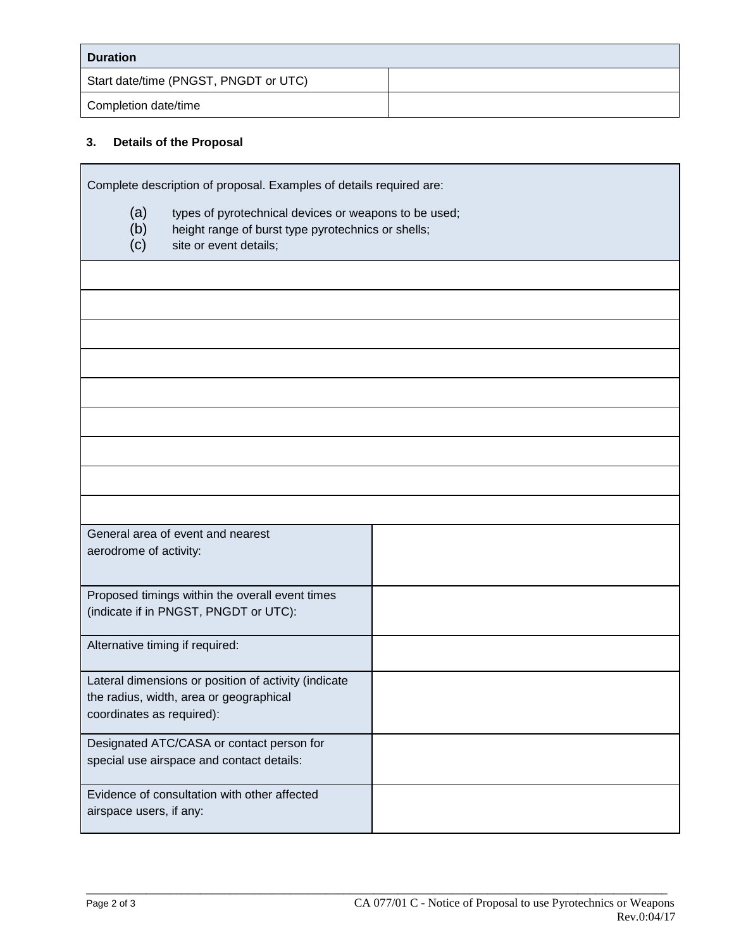| <b>Duration</b>                       |  |
|---------------------------------------|--|
| Start date/time (PNGST, PNGDT or UTC) |  |
| Completion date/time                  |  |

# **3. Details of the Proposal**

|                                                                                                                                                            | Complete description of proposal. Examples of details required are: |  |
|------------------------------------------------------------------------------------------------------------------------------------------------------------|---------------------------------------------------------------------|--|
| (a)<br>types of pyrotechnical devices or weapons to be used;<br>(b)<br>height range of burst type pyrotechnics or shells;<br>(c)<br>site or event details; |                                                                     |  |
|                                                                                                                                                            |                                                                     |  |
|                                                                                                                                                            |                                                                     |  |
|                                                                                                                                                            |                                                                     |  |
|                                                                                                                                                            |                                                                     |  |
|                                                                                                                                                            |                                                                     |  |
|                                                                                                                                                            |                                                                     |  |
|                                                                                                                                                            |                                                                     |  |
|                                                                                                                                                            |                                                                     |  |
|                                                                                                                                                            |                                                                     |  |
| General area of event and nearest<br>aerodrome of activity:                                                                                                |                                                                     |  |
| Proposed timings within the overall event times<br>(indicate if in PNGST, PNGDT or UTC):                                                                   |                                                                     |  |
| Alternative timing if required:                                                                                                                            |                                                                     |  |
| Lateral dimensions or position of activity (indicate<br>the radius, width, area or geographical<br>coordinates as required):                               |                                                                     |  |
| Designated ATC/CASA or contact person for<br>special use airspace and contact details:                                                                     |                                                                     |  |
| Evidence of consultation with other affected<br>airspace users, if any:                                                                                    |                                                                     |  |

 $\_$  ,  $\_$  ,  $\_$  ,  $\_$  ,  $\_$  ,  $\_$  ,  $\_$  ,  $\_$  ,  $\_$  ,  $\_$  ,  $\_$  ,  $\_$  ,  $\_$  ,  $\_$  ,  $\_$  ,  $\_$  ,  $\_$  ,  $\_$  ,  $\_$  ,  $\_$  ,  $\_$  ,  $\_$  ,  $\_$  ,  $\_$  ,  $\_$  ,  $\_$  ,  $\_$  ,  $\_$  ,  $\_$  ,  $\_$  ,  $\_$  ,  $\_$  ,  $\_$  ,  $\_$  ,  $\_$  ,  $\_$  ,  $\_$  ,